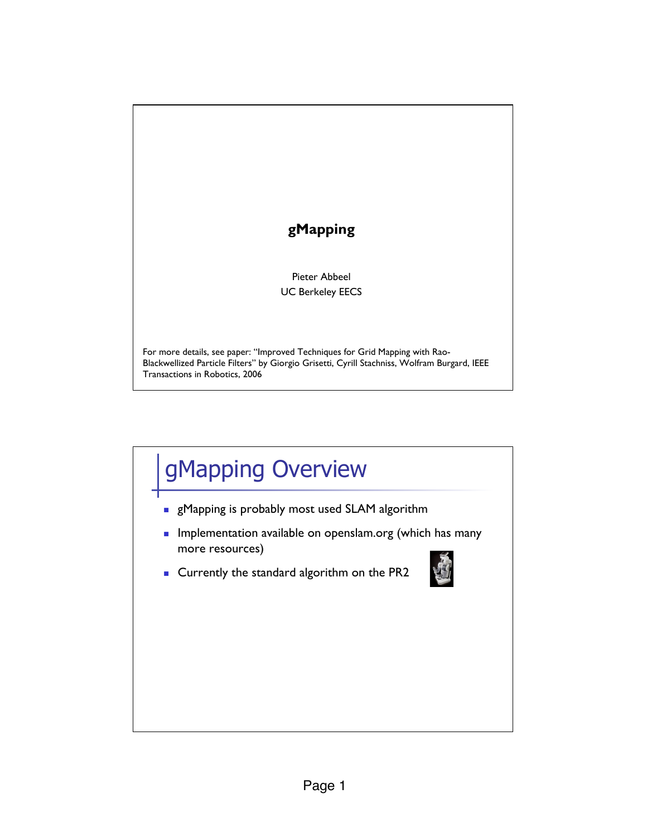## **gMapping** Pieter Abbeel UC Berkeley EECS For more details, see paper: "Improved Techniques for Grid Mapping with Rao-Blackwellized Particle Filters" by Giorgio Grisetti, Cyrill Stachniss, Wolfram Burgard, IEEE Transactions in Robotics, 2006

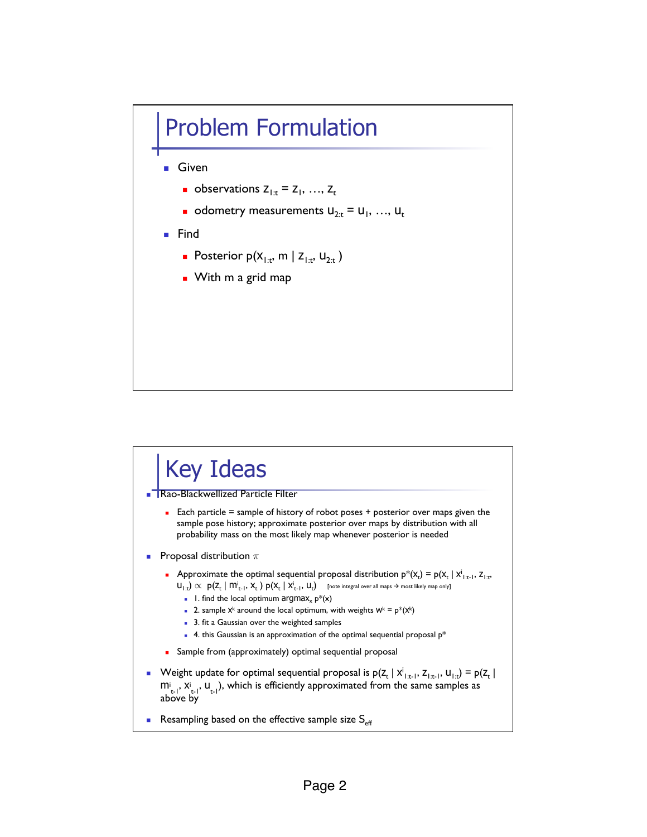## Problem Formulation

- **B** Given
	- **Dependent observations**  $Z_{1:t} = Z_1, \ldots, Z_t$
	- odometry measurements  $U_{2x} = U_1, ..., U_t$
- **E** Find
	- **Posterior**  $p(X_{1:t}, m | Z_{1:t}, U_{2:t})$
	- **.** With m a grid map

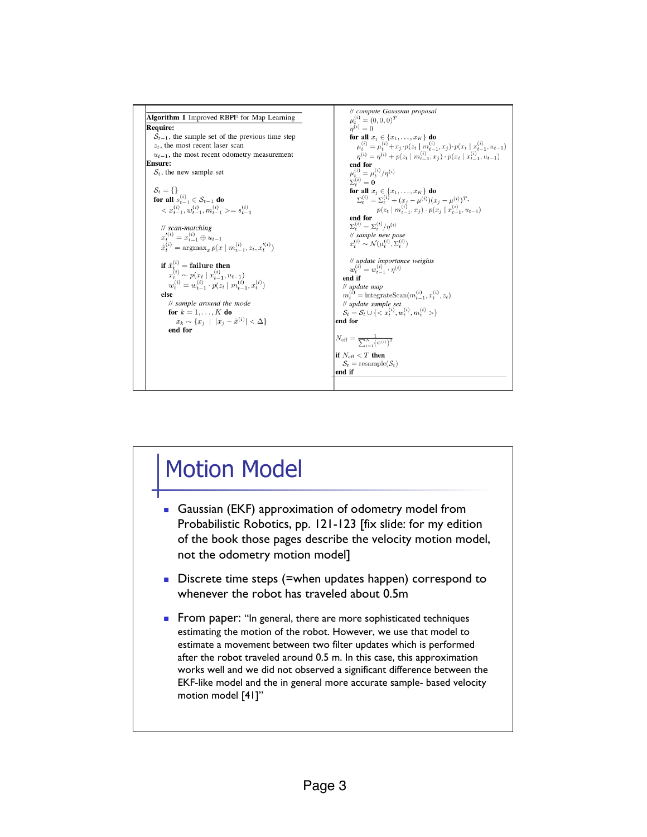

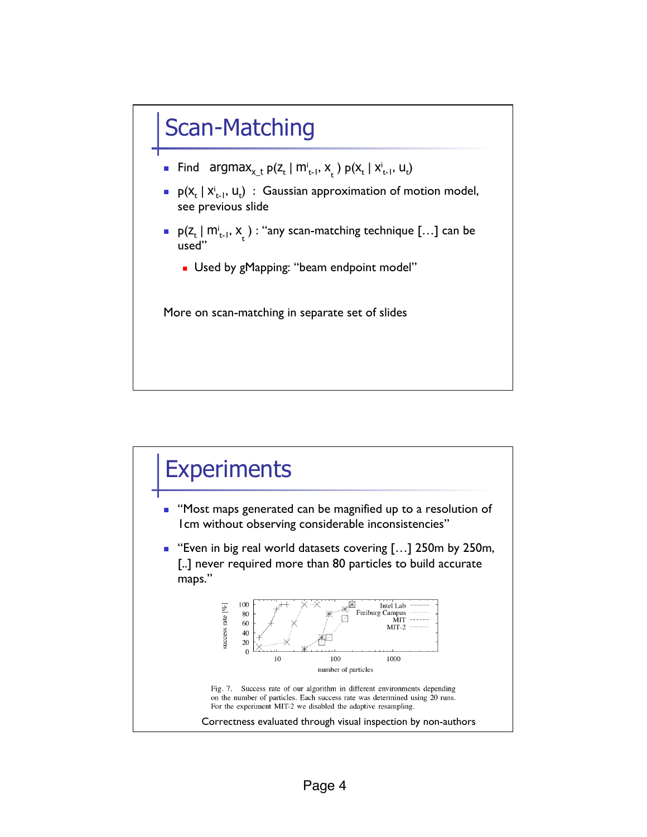## Scan-Matching

- Find  $argmax_{x_t} p(z_t | m_{t-1}^i, x_t) p(x_t | x_{t-1}^i, u_t)$
- **P** $(X_t | X_{t-1}^i, u_t)$  : Gaussian approximation of motion model, see previous slide
- $p(Z_t | m_{t-1}^i, x)$ : "any scan-matching technique [...] can be used"
	- **.** Used by gMapping: "beam endpoint model"

More on scan-matching in separate set of slides